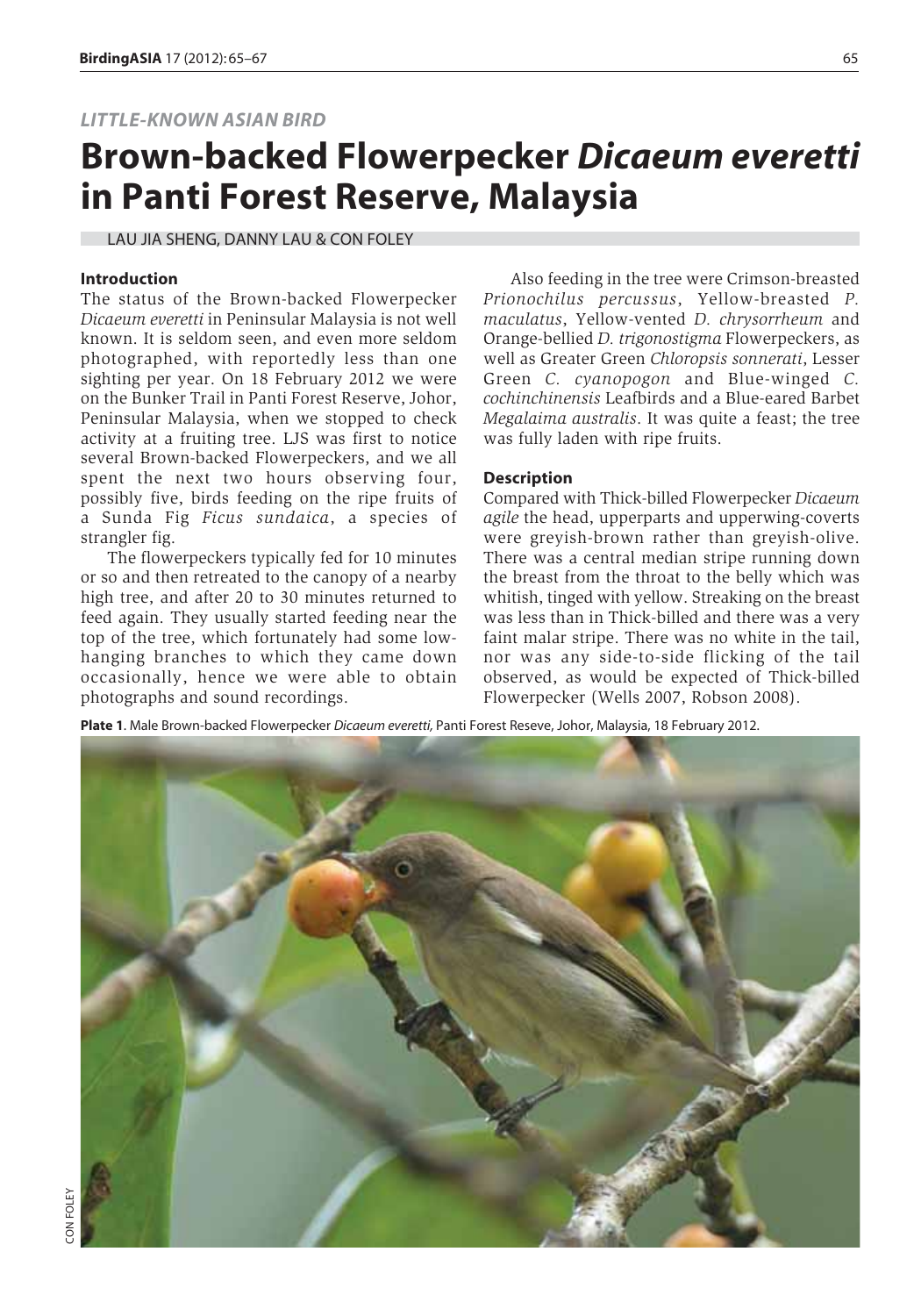## *LITTLE-KNOWN ASIAN BIRD*

# **Brown-backed Flowerpecker** *Dicaeum everetti* **in Panti Forest Reserve, Malaysia**

LAU JIA SHENG, DANNY LAU & CON FOLEY

#### **Introduction**

The status of the Brown-backed Flowerpecker *Dicaeum everetti* in Peninsular Malaysia is not well known. It is seldom seen, and even more seldom photographed, with reportedly less than one sighting per year. On 18 February 2012 we were on the Bunker Trail in Panti Forest Reserve, Johor, Peninsular Malaysia, when we stopped to check activity at a fruiting tree. LJS was first to notice several Brown-backed Flowerpeckers, and we all spent the next two hours observing four, possibly five, birds feeding on the ripe fruits of a Sunda Fig *Ficus sundaica*, a species of strangler fig.

The flowerpeckers typically fed for 10 minutes or so and then retreated to the canopy of a nearby high tree, and after 20 to 30 minutes returned to feed again. They usually started feeding near the top of the tree, which fortunately had some lowhanging branches to which they came down occasionally, hence we were able to obtain photographs and sound recordings.

Also feeding in the tree were Crimson-breasted *Prionochilus percussus*, Yellow-breasted *P. maculatus*, Yellow-vented *D. chrysorrheum* and Orange-bellied *D. trigonostigma* Flowerpeckers, as well as Greater Green *Chloropsis sonnerati*, Lesser Green *C. cyanopogon* and Blue-winged *C. cochinchinensis* Leafbirds and a Blue-eared Barbet *Megalaima australis*. It was quite a feast; the tree was fully laden with ripe fruits.

### **Description**

Compared with Thick-billed Flowerpecker *Dicaeum agile* the head, upperparts and upperwing-coverts were greyish-brown rather than greyish-olive. There was a central median stripe running down the breast from the throat to the belly which was whitish, tinged with yellow. Streaking on the breast was less than in Thick-billed and there was a very faint malar stripe. There was no white in the tail, nor was any side-to-side flicking of the tail observed, as would be expected of Thick-billed Flowerpecker (Wells 2007, Robson 2008).

**Plate 1**. Male Brown-backed Flowerpecker *Dicaeum everetti,* Panti Forest Reseve, Johor, Malaysia, 18 February 2012.

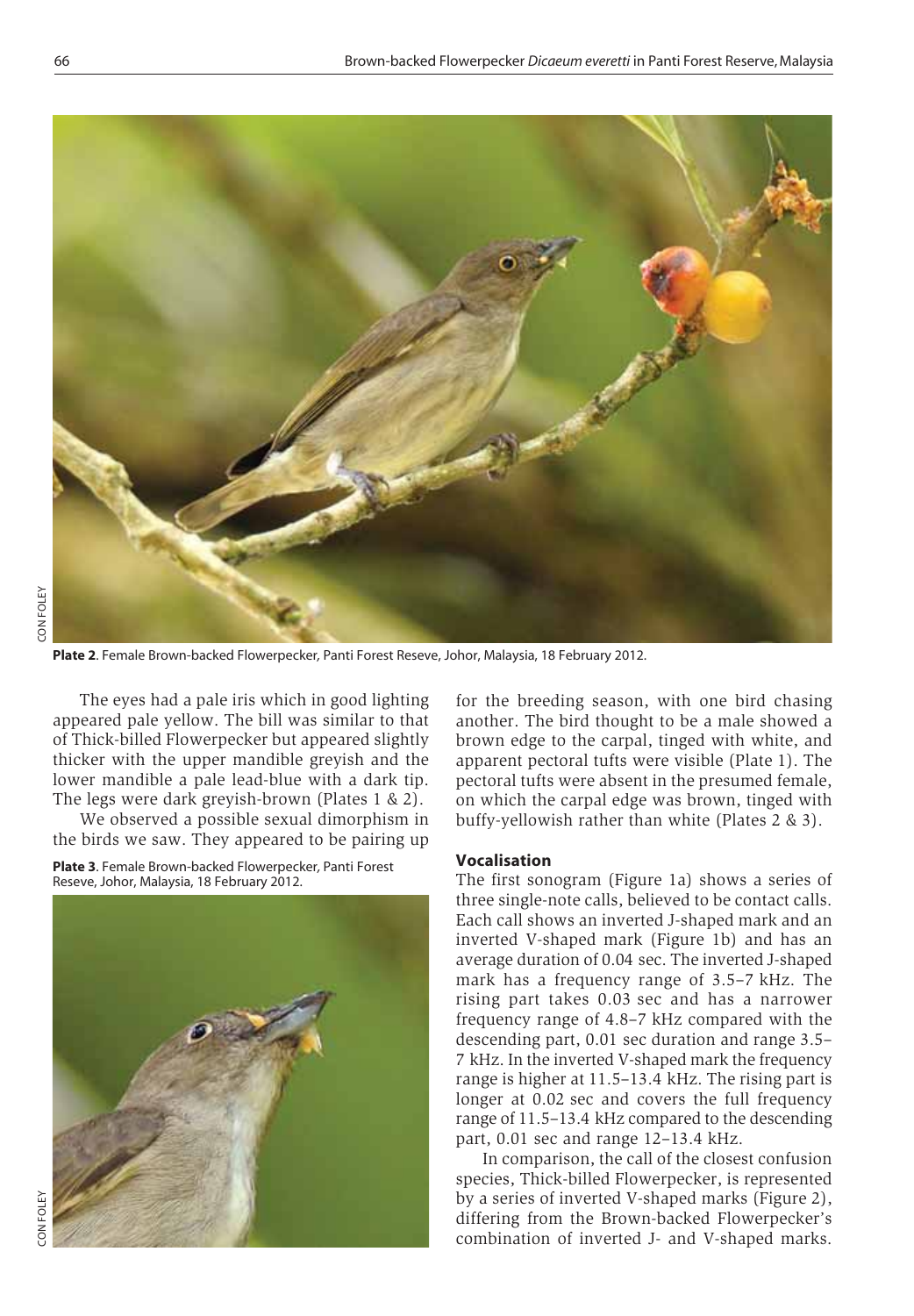

**Plate 2**. Female Brown-backed Flowerpecker*,* Panti Forest Reseve, Johor, Malaysia, 18 February 2012.

The eyes had a pale iris which in good lighting appeared pale yellow. The bill was similar to that of Thick-billed Flowerpecker but appeared slightly thicker with the upper mandible greyish and the lower mandible a pale lead-blue with a dark tip. The legs were dark greyish-brown (Plates 1 & 2).

We observed a possible sexual dimorphism in the birds we saw. They appeared to be pairing up

**Plate 3**. Female Brown-backed Flowerpecker*,* Panti Forest Reseve, Johor, Malaysia, 18 February 2012.



for the breeding season, with one bird chasing another. The bird thought to be a male showed a brown edge to the carpal, tinged with white, and apparent pectoral tufts were visible (Plate 1). The pectoral tufts were absent in the presumed female, on which the carpal edge was brown, tinged with buffy-yellowish rather than white (Plates 2 & 3).

#### **Vocalisation**

The first sonogram (Figure 1a) shows a series of three single-note calls, believed to be contact calls. Each call shows an inverted J-shaped mark and an inverted V-shaped mark (Figure 1b) and has an average duration of 0.04 sec. The inverted J-shaped mark has a frequency range of 3.5–7 kHz. The rising part takes 0.03 sec and has a narrower frequency range of 4.8–7 kHz compared with the descending part, 0.01 sec duration and range 3.5– 7 kHz. In the inverted V-shaped mark the frequency range is higher at 11.5–13.4 kHz. The rising part is longer at 0.02 sec and covers the full frequency range of 11.5–13.4 kHz compared to the descending part, 0.01 sec and range 12–13.4 kHz.

In comparison, the call of the closest confusion species, Thick-billed Flowerpecker, is represented by a series of inverted V-shaped marks (Figure 2), differing from the Brown-backed Flowerpecker's combination of inverted J- and V-shaped marks.